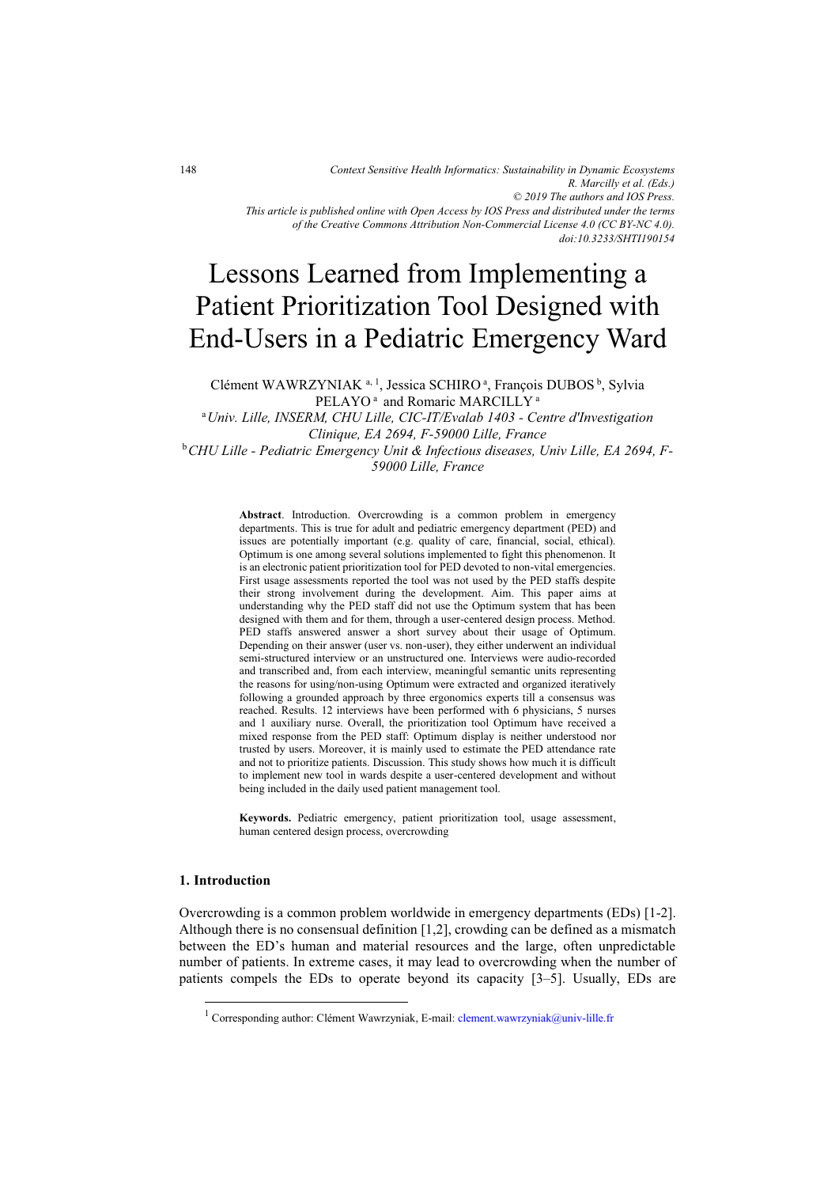*of the Creative Commons Attribution Non-Commercial License 4.0 (CC BY-NC 4.0). doi:10.3233/SHTI190154*

# Lessons Learned from Implementing a Patient Prioritization Tool Designed with End-Users in a Pediatric Emergency Ward

Clément WAWRZYNIAK<sup>a, 1</sup>, Jessica SCHIRO<sup>a</sup>, François DUBOS<sup>b</sup>, Sylvia PELAYO<sup>a</sup> and Romaric MARCILLY<sup>a</sup>

<sup>a</sup>*Univ. Lille, INSERM, CHU Lille, CIC-IT/Evalab 1403 - Centre d'Investigation Clinique, EA 2694, F-59000 Lille, France* 

b*CHU Lille - Pediatric Emergency Unit & Infectious diseases, Univ Lille, EA 2694, F-59000 Lille, France* 

> **Abstract**. Introduction. Overcrowding is a common problem in emergency departments. This is true for adult and pediatric emergency department (PED) and issues are potentially important (e.g. quality of care, financial, social, ethical). Optimum is one among several solutions implemented to fight this phenomenon. It is an electronic patient prioritization tool for PED devoted to non-vital emergencies. First usage assessments reported the tool was not used by the PED staffs despite their strong involvement during the development. Aim. This paper aims at understanding why the PED staff did not use the Optimum system that has been designed with them and for them, through a user-centered design process. Method. PED staffs answered answer a short survey about their usage of Optimum. Depending on their answer (user vs. non-user), they either underwent an individual semi-structured interview or an unstructured one. Interviews were audio-recorded and transcribed and, from each interview, meaningful semantic units representing the reasons for using/non-using Optimum were extracted and organized iteratively following a grounded approach by three ergonomics experts till a consensus was reached. Results. 12 interviews have been performed with 6 physicians, 5 nurses and 1 auxiliary nurse. Overall, the prioritization tool Optimum have received a mixed response from the PED staff: Optimum display is neither understood nor trusted by users. Moreover, it is mainly used to estimate the PED attendance rate and not to prioritize patients. Discussion. This study shows how much it is difficult to implement new tool in wards despite a user-centered development and without being included in the daily used patient management tool.

> **Keywords.** Pediatric emergency, patient prioritization tool, usage assessment, human centered design process, overcrowding

#### **1. Introduction**

-

Overcrowding is a common problem worldwide in emergency departments (EDs) [1-2]. Although there is no consensual definition [1,2], crowding can be defined as a mismatch between the ED's human and material resources and the large, often unpredictable number of patients. In extreme cases, it may lead to overcrowding when the number of patients compels the EDs to operate beyond its capacity [3–5]. Usually, EDs are

<sup>&</sup>lt;sup>1</sup> Corresponding author: Clément Wawrzyniak, E-mail: clement.wawrzyniak@univ-lille.fr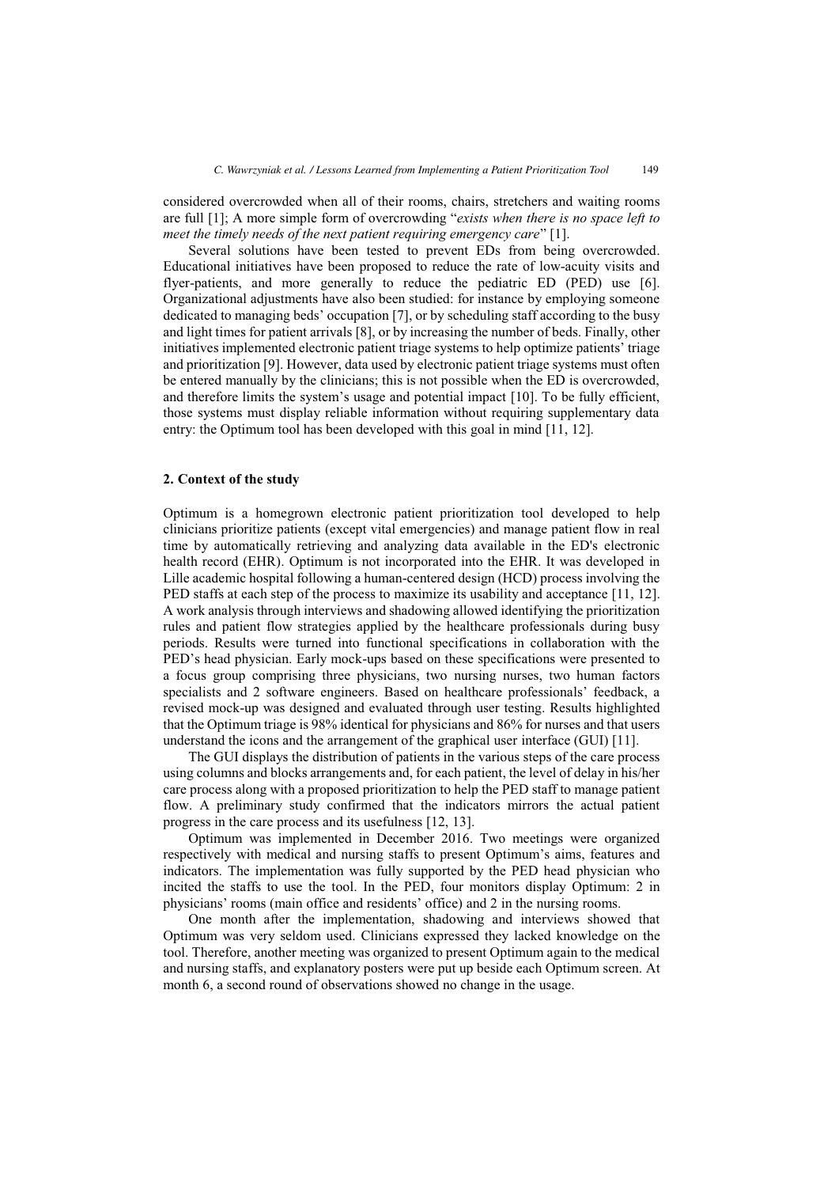considered overcrowded when all of their rooms, chairs, stretchers and waiting rooms are full [1]; A more simple form of overcrowding "*exists when there is no space left to meet the timely needs of the next patient requiring emergency care*" [1].

Several solutions have been tested to prevent EDs from being overcrowded. Educational initiatives have been proposed to reduce the rate of low-acuity visits and flyer-patients, and more generally to reduce the pediatric ED (PED) use [6]. Organizational adjustments have also been studied: for instance by employing someone dedicated to managing beds' occupation [7], or by scheduling staff according to the busy and light times for patient arrivals [8], or by increasing the number of beds. Finally, other initiatives implemented electronic patient triage systems to help optimize patients' triage and prioritization [9]. However, data used by electronic patient triage systems must often be entered manually by the clinicians; this is not possible when the ED is overcrowded, and therefore limits the system's usage and potential impact [10]. To be fully efficient, those systems must display reliable information without requiring supplementary data entry: the Optimum tool has been developed with this goal in mind [11, 12].

#### **2. Context of the study**

Optimum is a homegrown electronic patient prioritization tool developed to help clinicians prioritize patients (except vital emergencies) and manage patient flow in real time by automatically retrieving and analyzing data available in the ED's electronic health record (EHR). Optimum is not incorporated into the EHR. It was developed in Lille academic hospital following a human-centered design (HCD) process involving the PED staffs at each step of the process to maximize its usability and acceptance [11, 12]. A work analysis through interviews and shadowing allowed identifying the prioritization rules and patient flow strategies applied by the healthcare professionals during busy periods. Results were turned into functional specifications in collaboration with the PED's head physician. Early mock-ups based on these specifications were presented to a focus group comprising three physicians, two nursing nurses, two human factors specialists and 2 software engineers. Based on healthcare professionals' feedback, a revised mock-up was designed and evaluated through user testing. Results highlighted that the Optimum triage is 98% identical for physicians and 86% for nurses and that users understand the icons and the arrangement of the graphical user interface (GUI) [11].

The GUI displays the distribution of patients in the various steps of the care process using columns and blocks arrangements and, for each patient, the level of delay in his/her care process along with a proposed prioritization to help the PED staff to manage patient flow. A preliminary study confirmed that the indicators mirrors the actual patient progress in the care process and its usefulness [12, 13].

Optimum was implemented in December 2016. Two meetings were organized respectively with medical and nursing staffs to present Optimum's aims, features and indicators. The implementation was fully supported by the PED head physician who incited the staffs to use the tool. In the PED, four monitors display Optimum: 2 in physicians' rooms (main office and residents' office) and 2 in the nursing rooms.

One month after the implementation, shadowing and interviews showed that Optimum was very seldom used. Clinicians expressed they lacked knowledge on the tool. Therefore, another meeting was organized to present Optimum again to the medical and nursing staffs, and explanatory posters were put up beside each Optimum screen. At month 6, a second round of observations showed no change in the usage.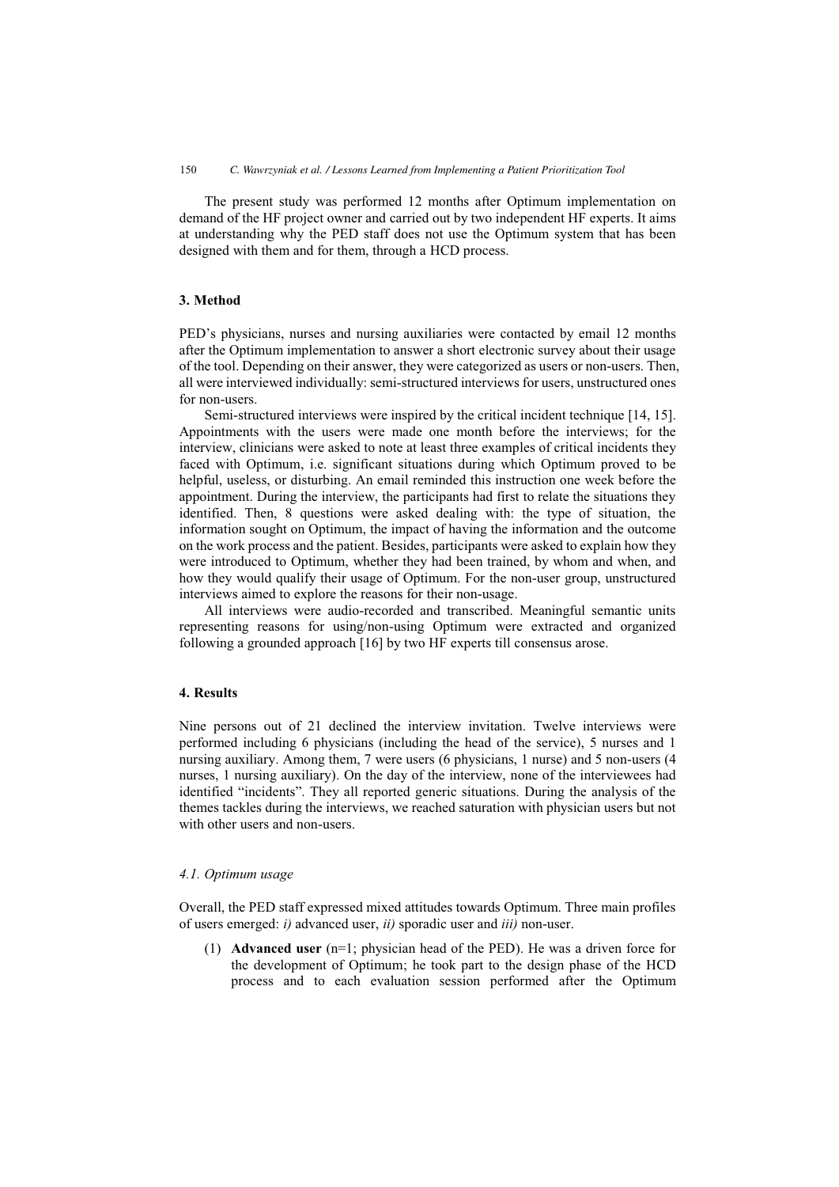The present study was performed 12 months after Optimum implementation on demand of the HF project owner and carried out by two independent HF experts. It aims at understanding why the PED staff does not use the Optimum system that has been designed with them and for them, through a HCD process.

## **3. Method**

PED's physicians, nurses and nursing auxiliaries were contacted by email 12 months after the Optimum implementation to answer a short electronic survey about their usage of the tool. Depending on their answer, they were categorized as users or non-users. Then, all were interviewed individually: semi-structured interviews for users, unstructured ones for non-users.

Semi-structured interviews were inspired by the critical incident technique [14, 15]. Appointments with the users were made one month before the interviews; for the interview, clinicians were asked to note at least three examples of critical incidents they faced with Optimum, i.e. significant situations during which Optimum proved to be helpful, useless, or disturbing. An email reminded this instruction one week before the appointment. During the interview, the participants had first to relate the situations they identified. Then, 8 questions were asked dealing with: the type of situation, the information sought on Optimum, the impact of having the information and the outcome on the work process and the patient. Besides, participants were asked to explain how they were introduced to Optimum, whether they had been trained, by whom and when, and how they would qualify their usage of Optimum. For the non-user group, unstructured interviews aimed to explore the reasons for their non-usage.

All interviews were audio-recorded and transcribed. Meaningful semantic units representing reasons for using/non-using Optimum were extracted and organized following a grounded approach [16] by two HF experts till consensus arose.

## **4. Results**

Nine persons out of 21 declined the interview invitation. Twelve interviews were performed including 6 physicians (including the head of the service), 5 nurses and 1 nursing auxiliary. Among them, 7 were users (6 physicians, 1 nurse) and 5 non-users (4 nurses, 1 nursing auxiliary). On the day of the interview, none of the interviewees had identified "incidents". They all reported generic situations. During the analysis of the themes tackles during the interviews, we reached saturation with physician users but not with other users and non-users.

#### *4.1. Optimum usage*

Overall, the PED staff expressed mixed attitudes towards Optimum. Three main profiles of users emerged: *i)* advanced user, *ii)* sporadic user and *iii)* non-user.

(1) **Advanced user** (n=1; physician head of the PED). He was a driven force for the development of Optimum; he took part to the design phase of the HCD process and to each evaluation session performed after the Optimum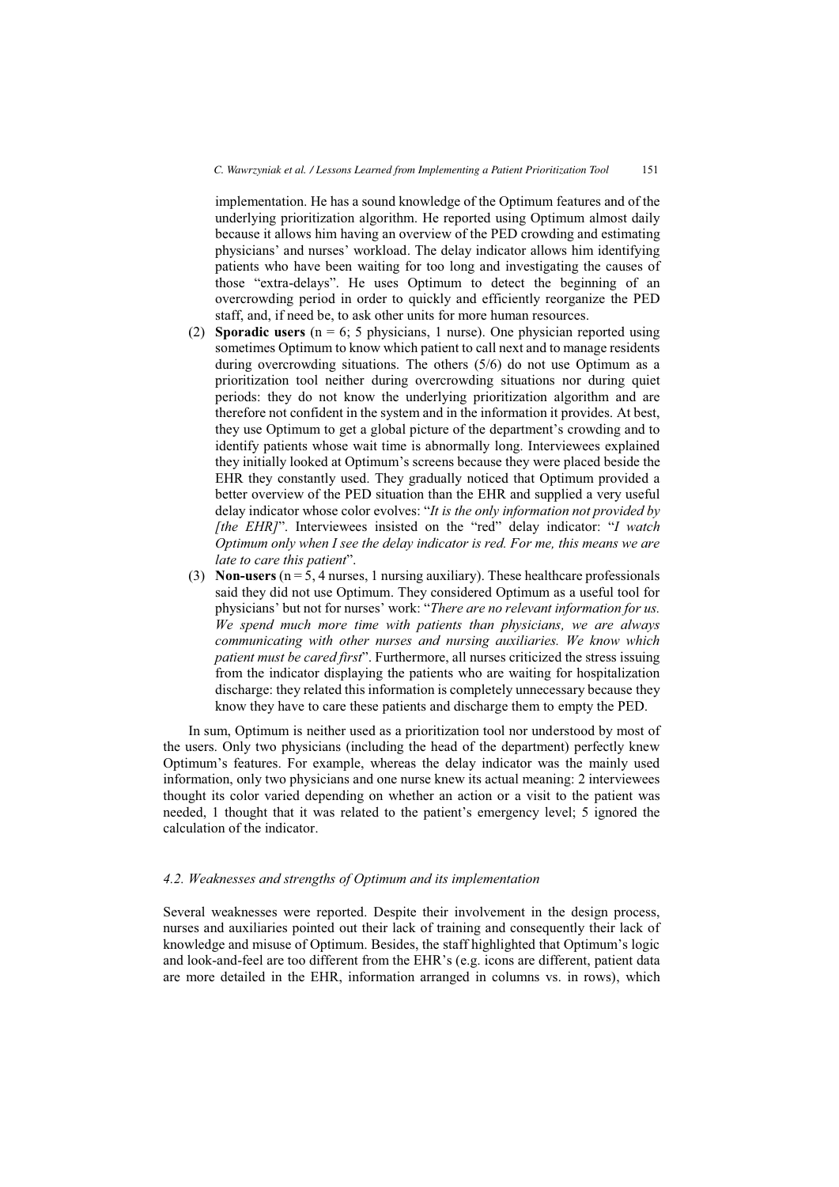implementation. He has a sound knowledge of the Optimum features and of the underlying prioritization algorithm. He reported using Optimum almost daily because it allows him having an overview of the PED crowding and estimating physicians' and nurses' workload. The delay indicator allows him identifying patients who have been waiting for too long and investigating the causes of those "extra-delays". He uses Optimum to detect the beginning of an overcrowding period in order to quickly and efficiently reorganize the PED staff, and, if need be, to ask other units for more human resources.

- (2) **Sporadic users** ( $n = 6$ ; 5 physicians, 1 nurse). One physician reported using sometimes Optimum to know which patient to call next and to manage residents during overcrowding situations. The others (5/6) do not use Optimum as a prioritization tool neither during overcrowding situations nor during quiet periods: they do not know the underlying prioritization algorithm and are therefore not confident in the system and in the information it provides. At best, they use Optimum to get a global picture of the department's crowding and to identify patients whose wait time is abnormally long. Interviewees explained they initially looked at Optimum's screens because they were placed beside the EHR they constantly used. They gradually noticed that Optimum provided a better overview of the PED situation than the EHR and supplied a very useful delay indicator whose color evolves: "*It is the only information not provided by [the EHR]*". Interviewees insisted on the "red" delay indicator: "*I watch Optimum only when I see the delay indicator is red. For me, this means we are late to care this patient*".
- (3) **Non-users**  $(n = 5, 4$  nurses, 1 nursing auxiliary). These healthcare professionals said they did not use Optimum. They considered Optimum as a useful tool for physicians' but not for nurses' work: "*There are no relevant information for us. We spend much more time with patients than physicians, we are always communicating with other nurses and nursing auxiliaries. We know which patient must be cared first*". Furthermore, all nurses criticized the stress issuing from the indicator displaying the patients who are waiting for hospitalization discharge: they related this information is completely unnecessary because they know they have to care these patients and discharge them to empty the PED.

In sum, Optimum is neither used as a prioritization tool nor understood by most of the users. Only two physicians (including the head of the department) perfectly knew Optimum's features. For example, whereas the delay indicator was the mainly used information, only two physicians and one nurse knew its actual meaning: 2 interviewees thought its color varied depending on whether an action or a visit to the patient was needed, 1 thought that it was related to the patient's emergency level; 5 ignored the calculation of the indicator.

### *4.2. Weaknesses and strengths of Optimum and its implementation*

Several weaknesses were reported. Despite their involvement in the design process, nurses and auxiliaries pointed out their lack of training and consequently their lack of knowledge and misuse of Optimum. Besides, the staff highlighted that Optimum's logic and look-and-feel are too different from the EHR's (e.g. icons are different, patient data are more detailed in the EHR, information arranged in columns vs. in rows), which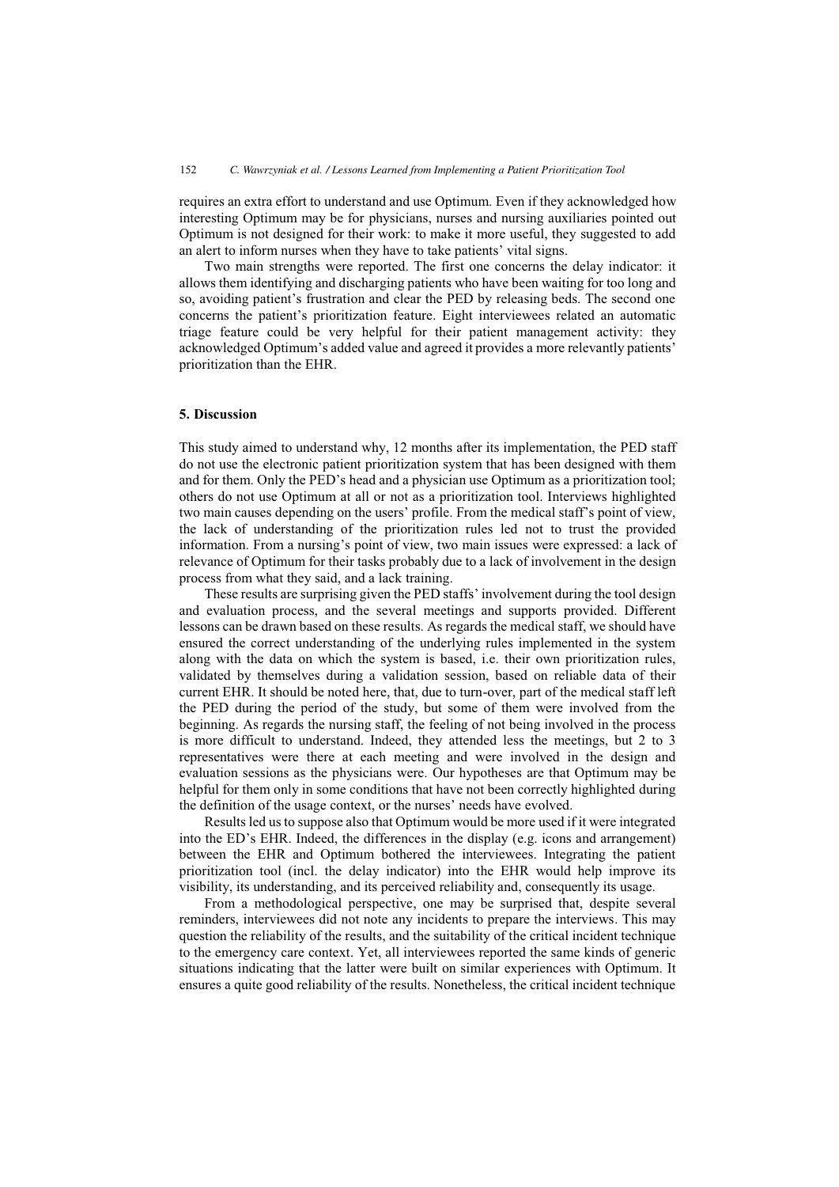requires an extra effort to understand and use Optimum. Even if they acknowledged how interesting Optimum may be for physicians, nurses and nursing auxiliaries pointed out Optimum is not designed for their work: to make it more useful, they suggested to add an alert to inform nurses when they have to take patients' vital signs.

Two main strengths were reported. The first one concerns the delay indicator: it allows them identifying and discharging patients who have been waiting for too long and so, avoiding patient's frustration and clear the PED by releasing beds. The second one concerns the patient's prioritization feature. Eight interviewees related an automatic triage feature could be very helpful for their patient management activity: they acknowledged Optimum's added value and agreed it provides a more relevantly patients' prioritization than the EHR.

## **5. Discussion**

This study aimed to understand why, 12 months after its implementation, the PED staff do not use the electronic patient prioritization system that has been designed with them and for them. Only the PED's head and a physician use Optimum as a prioritization tool; others do not use Optimum at all or not as a prioritization tool. Interviews highlighted two main causes depending on the users' profile. From the medical staff's point of view, the lack of understanding of the prioritization rules led not to trust the provided information. From a nursing's point of view, two main issues were expressed: a lack of relevance of Optimum for their tasks probably due to a lack of involvement in the design process from what they said, and a lack training.

These results are surprising given the PED staffs' involvement during the tool design and evaluation process, and the several meetings and supports provided. Different lessons can be drawn based on these results. As regards the medical staff, we should have ensured the correct understanding of the underlying rules implemented in the system along with the data on which the system is based, i.e. their own prioritization rules, validated by themselves during a validation session, based on reliable data of their current EHR. It should be noted here, that, due to turn-over, part of the medical staff left the PED during the period of the study, but some of them were involved from the beginning. As regards the nursing staff, the feeling of not being involved in the process is more difficult to understand. Indeed, they attended less the meetings, but 2 to 3 representatives were there at each meeting and were involved in the design and evaluation sessions as the physicians were. Our hypotheses are that Optimum may be helpful for them only in some conditions that have not been correctly highlighted during the definition of the usage context, or the nurses' needs have evolved.

Results led us to suppose also that Optimum would be more used if it were integrated into the ED's EHR. Indeed, the differences in the display (e.g. icons and arrangement) between the EHR and Optimum bothered the interviewees. Integrating the patient prioritization tool (incl. the delay indicator) into the EHR would help improve its visibility, its understanding, and its perceived reliability and, consequently its usage.

From a methodological perspective, one may be surprised that, despite several reminders, interviewees did not note any incidents to prepare the interviews. This may question the reliability of the results, and the suitability of the critical incident technique to the emergency care context. Yet, all interviewees reported the same kinds of generic situations indicating that the latter were built on similar experiences with Optimum. It ensures a quite good reliability of the results. Nonetheless, the critical incident technique